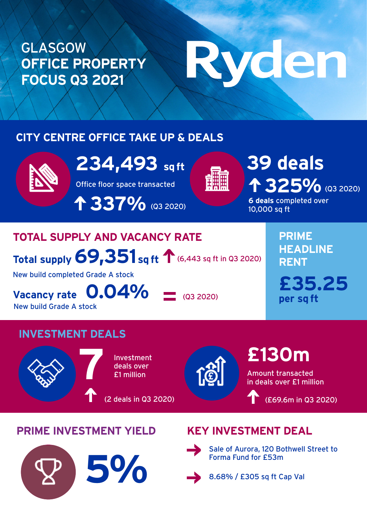### GLASGOW **OFFICE PROPERTY FOCUS Q3 2021**

# Ryden

### **CITY CENTRE OFFICE TAKE UP & DEALS**



**234,493 sqtt 4 39 deals** 

Office floor space transacted

 **337%** (Q3 2020)



**6 deals** completed over 10,000 sq ft **1 325%** (Q3 2020)

### **TOTAL SUPPLY AND VACANCY RATE**

Total supply 69,351 sq ft 1 (6,443 sq ft in Q3 2020)

New build completed Grade A stock

**Vacancy rate 0.04%** New build Grade A stock

**PRIME HEADLINE RENT**

**£35.25 per sq ft**

### **INVESTMENT DEALS**





**£130m** 

Amount transacted in deals over £1 million

(£69.6m in Q3 2020)

### **PRIME INVESTMENT YIELD KEY INVESTMENT DEAL**

## Forma Fund for £53m<br>**5 & 58%** / £305 sq ft C



 $(Q3 2020)$ 

Sale of Aurora, 120 Bothwell Street to

8.68% / £305 sq ft Cap Val